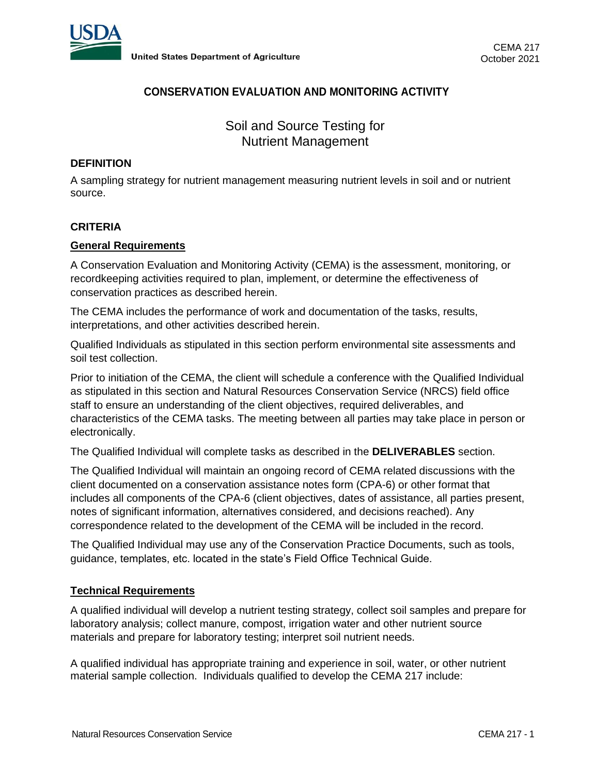

# **CONSERVATION EVALUATION AND MONITORING ACTIVITY**

Soil and Source Testing for Nutrient Management

## **DEFINITION**

A sampling strategy for nutrient management measuring nutrient levels in soil and or nutrient source.

## **CRITERIA**

#### **General Requirements**

A Conservation Evaluation and Monitoring Activity (CEMA) is the assessment, monitoring, or recordkeeping activities required to plan, implement, or determine the effectiveness of conservation practices as described herein.

The CEMA includes the performance of work and documentation of the tasks, results, interpretations, and other activities described herein.

Qualified Individuals as stipulated in this section perform environmental site assessments and soil test collection.

Prior to initiation of the CEMA, the client will schedule a conference with the Qualified Individual as stipulated in this section and Natural Resources Conservation Service (NRCS) field office staff to ensure an understanding of the client objectives, required deliverables, and characteristics of the CEMA tasks. The meeting between all parties may take place in person or electronically.

The Qualified Individual will complete tasks as described in the **DELIVERABLES** section.

The Qualified Individual will maintain an ongoing record of CEMA related discussions with the client documented on a conservation assistance notes form (CPA-6) or other format that includes all components of the CPA-6 (client objectives, dates of assistance, all parties present, notes of significant information, alternatives considered, and decisions reached). Any correspondence related to the development of the CEMA will be included in the record.

The Qualified Individual may use any of the Conservation Practice Documents, such as tools, guidance, templates, etc. located in the state's Field Office Technical Guide.

### **Technical Requirements**

A qualified individual will develop a nutrient testing strategy, collect soil samples and prepare for laboratory analysis; collect manure, compost, irrigation water and other nutrient source materials and prepare for laboratory testing; interpret soil nutrient needs.

A qualified individual has appropriate training and experience in soil, water, or other nutrient material sample collection. Individuals qualified to develop the CEMA 217 include: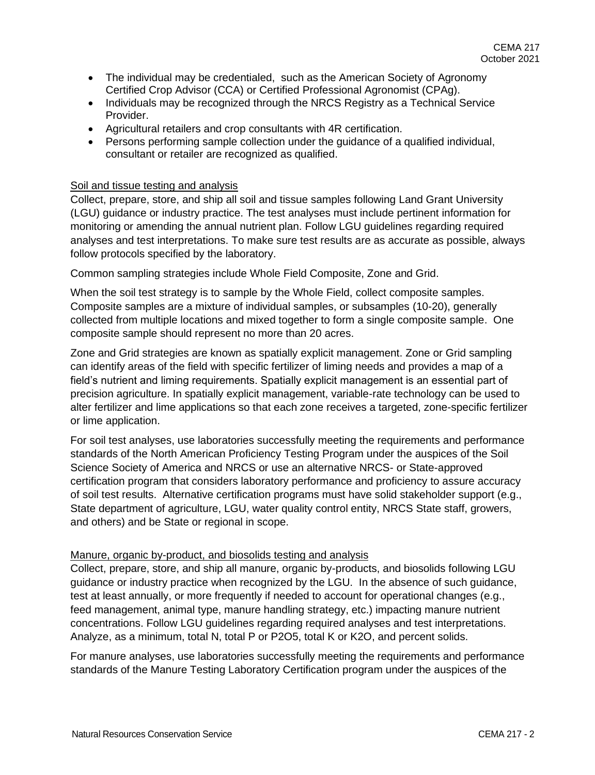- The individual may be credentialed, such as the American Society of Agronomy Certified Crop Advisor (CCA) or Certified Professional Agronomist (CPAg).
- Individuals may be recognized through the NRCS Registry as a Technical Service Provider.
- Agricultural retailers and crop consultants with 4R certification.
- Persons performing sample collection under the quidance of a qualified individual, consultant or retailer are recognized as qualified.

## Soil and tissue testing and analysis

Collect, prepare, store, and ship all soil and tissue samples following Land Grant University (LGU) guidance or industry practice. The test analyses must include pertinent information for monitoring or amending the annual nutrient plan. Follow LGU guidelines regarding required analyses and test interpretations. To make sure test results are as accurate as possible, always follow protocols specified by the laboratory.

Common sampling strategies include Whole Field Composite, Zone and Grid.

When the soil test strategy is to sample by the Whole Field, collect composite samples. Composite samples are a mixture of individual samples, or subsamples (10-20), generally collected from multiple locations and mixed together to form a single composite sample. One composite sample should represent no more than 20 acres.

Zone and Grid strategies are known as spatially explicit management. Zone or Grid sampling can identify areas of the field with specific fertilizer of liming needs and provides a map of a field's nutrient and liming requirements. Spatially explicit management is an essential part of precision agriculture. In spatially explicit management, variable-rate technology can be used to alter fertilizer and lime applications so that each zone receives a targeted, zone-specific fertilizer or lime application.

For soil test analyses, use laboratories successfully meeting the requirements and performance standards of the North American Proficiency Testing Program under the auspices of the Soil Science Society of America and NRCS or use an alternative NRCS- or State-approved certification program that considers laboratory performance and proficiency to assure accuracy of soil test results. Alternative certification programs must have solid stakeholder support (e.g., State department of agriculture, LGU, water quality control entity, NRCS State staff, growers, and others) and be State or regional in scope.

### Manure, organic by-product, and biosolids testing and analysis

Collect, prepare, store, and ship all manure, organic by-products, and biosolids following LGU guidance or industry practice when recognized by the LGU. In the absence of such guidance, test at least annually, or more frequently if needed to account for operational changes (e.g., feed management, animal type, manure handling strategy, etc.) impacting manure nutrient concentrations. Follow LGU guidelines regarding required analyses and test interpretations. Analyze, as a minimum, total N, total P or P2O5, total K or K2O, and percent solids.

For manure analyses, use laboratories successfully meeting the requirements and performance standards of the Manure Testing Laboratory Certification program under the auspices of the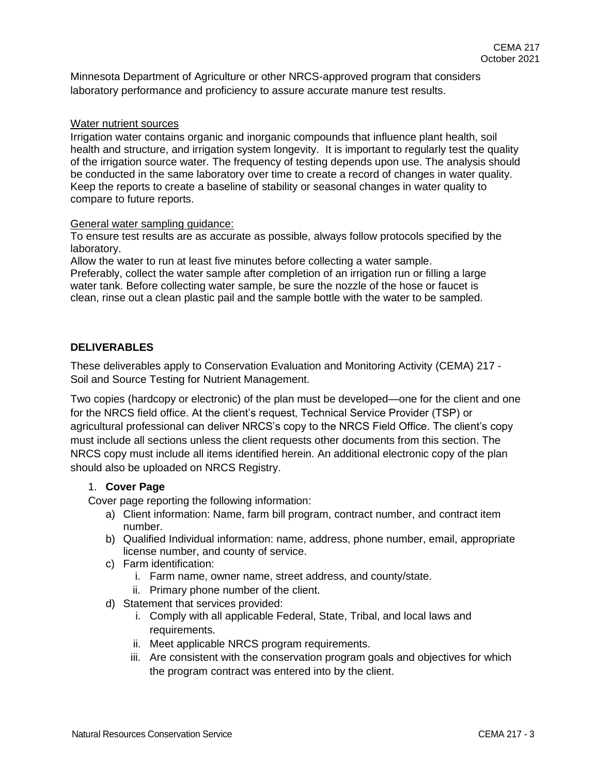Minnesota Department of Agriculture or other NRCS-approved program that considers laboratory performance and proficiency to assure accurate manure test results.

### Water nutrient sources

Irrigation water contains organic and inorganic compounds that influence plant health, soil health and structure, and irrigation system longevity. It is important to regularly test the quality of the irrigation source water. The frequency of testing depends upon use. The analysis should be conducted in the same laboratory over time to create a record of changes in water quality. Keep the reports to create a baseline of stability or seasonal changes in water quality to compare to future reports.

### General water sampling guidance:

To ensure test results are as accurate as possible, always follow protocols specified by the laboratory.

Allow the water to run at least five minutes before collecting a water sample. Preferably, collect the water sample after completion of an irrigation run or filling a large water tank. Before collecting water sample, be sure the nozzle of the hose or faucet is clean, rinse out a clean plastic pail and the sample bottle with the water to be sampled.

## **DELIVERABLES**

These deliverables apply to Conservation Evaluation and Monitoring Activity (CEMA) 217 - Soil and Source Testing for Nutrient Management.

Two copies (hardcopy or electronic) of the plan must be developed—one for the client and one for the NRCS field office. At the client's request, Technical Service Provider (TSP) or agricultural professional can deliver NRCS's copy to the NRCS Field Office. The client's copy must include all sections unless the client requests other documents from this section. The NRCS copy must include all items identified herein. An additional electronic copy of the plan should also be uploaded on NRCS Registry.

## 1. **Cover Page**

Cover page reporting the following information:

- a) Client information: Name, farm bill program, contract number, and contract item number.
- b) Qualified Individual information: name, address, phone number, email, appropriate license number, and county of service.
- c) Farm identification:
	- i. Farm name, owner name, street address, and county/state.
	- ii. Primary phone number of the client.
- d) Statement that services provided:
	- i. Comply with all applicable Federal, State, Tribal, and local laws and requirements.
	- ii. Meet applicable NRCS program requirements.
	- iii. Are consistent with the conservation program goals and objectives for which the program contract was entered into by the client.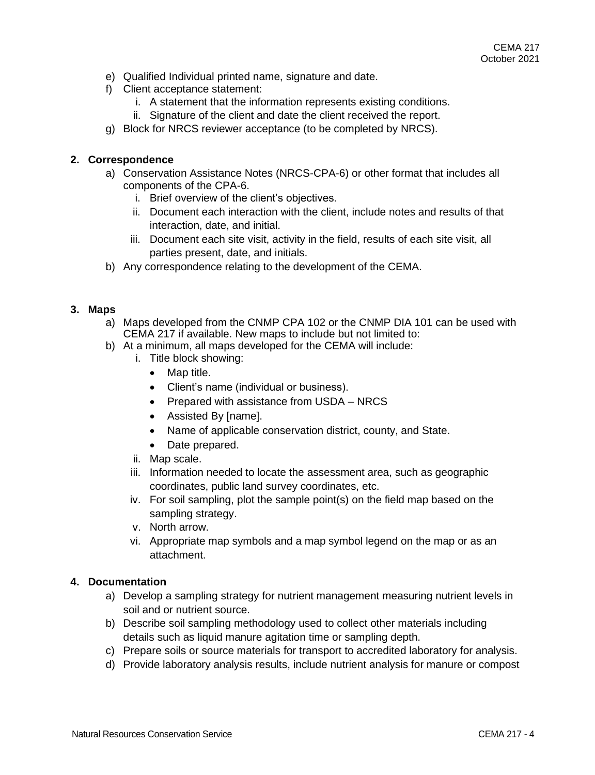- e) Qualified Individual printed name, signature and date.
- f) Client acceptance statement:
	- i. A statement that the information represents existing conditions.
	- ii. Signature of the client and date the client received the report.
- g) Block for NRCS reviewer acceptance (to be completed by NRCS).

## **2. Correspondence**

- a) Conservation Assistance Notes (NRCS-CPA-6) or other format that includes all components of the CPA-6.
	- i. Brief overview of the client's objectives.
	- ii. Document each interaction with the client, include notes and results of that interaction, date, and initial.
	- iii. Document each site visit, activity in the field, results of each site visit, all parties present, date, and initials.
- b) Any correspondence relating to the development of the CEMA.

#### **3. Maps**

- a) Maps developed from the CNMP CPA 102 or the CNMP DIA 101 can be used with CEMA 217 if available. New maps to include but not limited to:
- b) At a minimum, all maps developed for the CEMA will include:
	- i. Title block showing:
		- Map title.
		- Client's name (individual or business).
		- Prepared with assistance from USDA NRCS
		- Assisted By [name].
		- Name of applicable conservation district, county, and State.
		- Date prepared.
	- ii. Map scale.
	- iii. Information needed to locate the assessment area, such as geographic coordinates, public land survey coordinates, etc.
	- iv. For soil sampling, plot the sample point(s) on the field map based on the sampling strategy.
	- v. North arrow.
	- vi. Appropriate map symbols and a map symbol legend on the map or as an attachment.

### **4. Documentation**

- a) Develop a sampling strategy for nutrient management measuring nutrient levels in soil and or nutrient source.
- b) Describe soil sampling methodology used to collect other materials including details such as liquid manure agitation time or sampling depth.
- c) Prepare soils or source materials for transport to accredited laboratory for analysis.
- d) Provide laboratory analysis results, include nutrient analysis for manure or compost